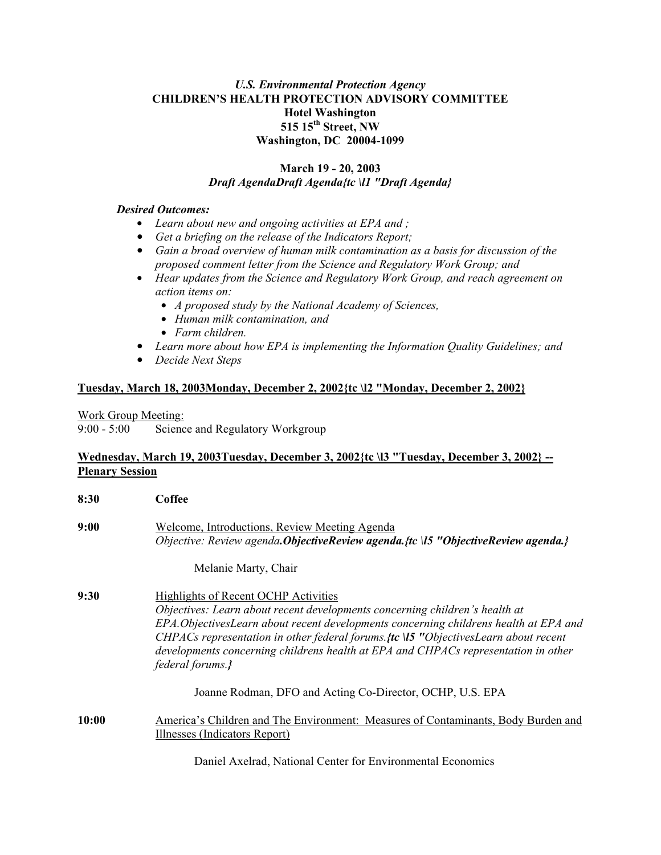## *U.S. Environmental Protection Agency* **CHILDREN'S HEALTH PROTECTION ADVISORY COMMITTEE Hotel Washington 515 15th Street, NW Washington, DC 20004-1099**

#### **March 19 - 20, 2003**  *Draft AgendaDraft Agenda{tc \l1 "Draft Agenda}*

#### *Desired Outcomes:*

- Learn about new and ongoing activities at EPA and ;
- **•** Get a briefing on the release of the Indicators Report;
- **•** Gain a broad overview of human milk contamination as a basis for discussion of the *proposed comment letter from the Science and Regulatory Work Group; and*
- $\bullet$  *Hear updates from the Science and Regulatory Work Group, and reach agreement on action items on:* 
	- *A proposed study by the National Academy of Sciences,*
	- \$ *Human milk contamination, and*
	- $\bullet$  *Farm children.*
- Learn more about how EPA is implementing the Information Quality Guidelines; and
- *Decide Next Steps*

## **Tuesday, March 18, 2003Monday, December 2, 2002{tc \l2 "Monday, December 2, 2002}**

Work Group Meeting:

9:00 - 5:00 Science and Regulatory Workgroup

## **Wednesday, March 19, 2003Tuesday, December 3, 2002{tc \l3 "Tuesday, December 3, 2002} -- Plenary Session**

| 8:30  | Coffee                                                                                                                                                                                                                                                                                                                                                                                                                                              |
|-------|-----------------------------------------------------------------------------------------------------------------------------------------------------------------------------------------------------------------------------------------------------------------------------------------------------------------------------------------------------------------------------------------------------------------------------------------------------|
| 9:00  | Welcome, Introductions, Review Meeting Agenda<br>Objective: Review agenda. Objective Review agenda. {tc \15 "Objective Review agenda.}                                                                                                                                                                                                                                                                                                              |
|       | Melanie Marty, Chair                                                                                                                                                                                                                                                                                                                                                                                                                                |
| 9:30  | <b>Highlights of Recent OCHP Activities</b><br>Objectives: Learn about recent developments concerning children's health at<br>EPA. Objectives Learn about recent developments concerning childrens health at EPA and<br>CHPACs representation in other federal forums $f(c \,   \, 5 \, \text{''} \, \text{ObjectivesLearn}$ about recent<br>developments concerning childrens health at EPA and CHPACs representation in other<br>federal forums.} |
|       | Joanne Rodman, DFO and Acting Co-Director, OCHP, U.S. EPA                                                                                                                                                                                                                                                                                                                                                                                           |
| 10:00 | America's Children and The Environment: Measures of Contaminants, Body Burden and<br>Illnesses (Indicators Report)                                                                                                                                                                                                                                                                                                                                  |
|       |                                                                                                                                                                                                                                                                                                                                                                                                                                                     |

Daniel Axelrad, National Center for Environmental Economics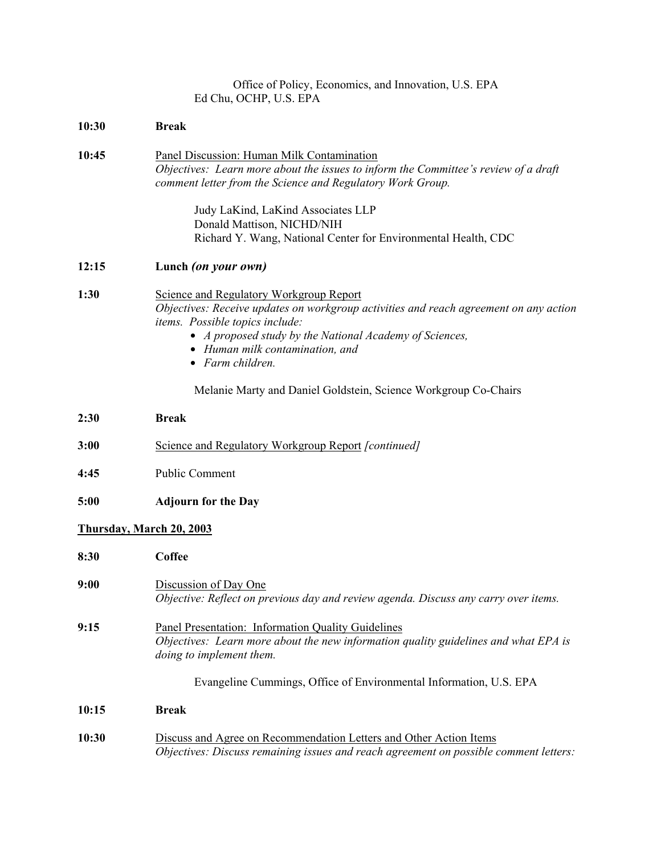| Office of Policy, Economics, and Innovation, U.S. EPA |
|-------------------------------------------------------|
| Ed Chu, OCHP, U.S. EPA                                |

| 10:30 | <b>Break</b>                                                                                                                                                                                                                                                                          |  |
|-------|---------------------------------------------------------------------------------------------------------------------------------------------------------------------------------------------------------------------------------------------------------------------------------------|--|
| 10:45 | Panel Discussion: Human Milk Contamination<br>Objectives: Learn more about the issues to inform the Committee's review of a draft<br>comment letter from the Science and Regulatory Work Group.                                                                                       |  |
|       | Judy LaKind, LaKind Associates LLP<br>Donald Mattison, NICHD/NIH                                                                                                                                                                                                                      |  |
|       | Richard Y. Wang, National Center for Environmental Health, CDC                                                                                                                                                                                                                        |  |
| 12:15 | Lunch (on your own)                                                                                                                                                                                                                                                                   |  |
| 1:30  | Science and Regulatory Workgroup Report<br>Objectives: Receive updates on workgroup activities and reach agreement on any action<br>items. Possible topics include:<br>• A proposed study by the National Academy of Sciences,<br>• Human milk contamination, and<br>• Farm children. |  |
|       | Melanie Marty and Daniel Goldstein, Science Workgroup Co-Chairs                                                                                                                                                                                                                       |  |
| 2:30  | <b>Break</b>                                                                                                                                                                                                                                                                          |  |
| 3:00  | Science and Regulatory Workgroup Report [continued]                                                                                                                                                                                                                                   |  |
| 4:45  | <b>Public Comment</b>                                                                                                                                                                                                                                                                 |  |
| 5:00  | <b>Adjourn for the Day</b>                                                                                                                                                                                                                                                            |  |
|       | Thursday, March 20, 2003                                                                                                                                                                                                                                                              |  |
| 8:30  | <b>Coffee</b>                                                                                                                                                                                                                                                                         |  |
| 9:00  | Discussion of Day One<br>Objective: Reflect on previous day and review agenda. Discuss any carry over items.                                                                                                                                                                          |  |
| 9:15  | Panel Presentation: Information Quality Guidelines<br>Objectives: Learn more about the new information quality guidelines and what EPA is<br>doing to implement them.                                                                                                                 |  |
|       | Evangeline Cummings, Office of Environmental Information, U.S. EPA                                                                                                                                                                                                                    |  |
| 10:15 | <b>Break</b>                                                                                                                                                                                                                                                                          |  |
| 10:30 | Discuss and Agree on Recommendation Letters and Other Action Items<br>Objectives: Discuss remaining issues and reach agreement on possible comment letters:                                                                                                                           |  |